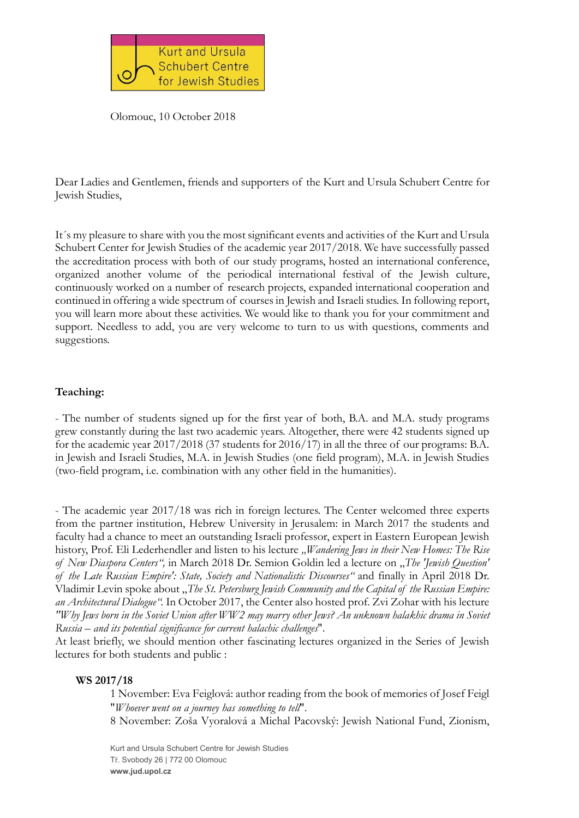

Olomouc, 10 October 2018

Dear Ladies and Gentlemen, friends and supporters of the Kurt and Ursula Schubert Centre for Jewish Studies,

It´s my pleasure to share with you the most significant events and activities of the Kurt and Ursula Schubert Center for Jewish Studies of the academic year 2017/2018. We have successfully passed the accreditation process with both of our study programs, hosted an international conference, organized another volume of the periodical international festival of the Jewish culture, continuously worked on a number of research projects, expanded international cooperation and continued in offering a wide spectrum of courses in Jewish and Israeli studies. In following report, you will learn more about these activities. We would like to thank you for your commitment and support. Needless to add, you are very welcome to turn to us with questions, comments and suggestions.

## Teaching:

- The number of students signed up for the first year of both, B.A. and M.A. study programs grew constantly during the last two academic years. Altogether, there were 42 students signed up for the academic year 2017/2018 (37 students for 2016/17) in all the three of our programs: B.A. in Jewish and Israeli Studies, M.A. in Jewish Studies (one field program), M.A. in Jewish Studies (two-field program, i.e. combination with any other field in the humanities).

- The academic year 2017/18 was rich in foreign lectures. The Center welcomed three experts from the partner institution, Hebrew University in Jerusalem: in March 2017 the students and faculty had a chance to meet an outstanding Israeli professor, expert in Eastern European Jewish history, Prof. Eli Lederhendler and listen to his lecture *"Wandering Jews in their New Homes: The Rise of New Diaspora Centers",* in March 2018 Dr. Semion Goldin led a lecture on "*The 'Jewish Question' of the Late Russian Empire': State, Society and Nationalistic Discourses"* and finally in April 2018 Dr. Vladimir Levin spoke about "*The St. Petersburg Jewish Community and the Capital of the Russian Empire: an Architectural Dialogue".* In October 2017, the Center also hosted prof. Zvi Zohar with his lecture *"Why Jews born in the Soviet Union after WW2 may marry other Jews? An unknown halakhic drama in Soviet Russia – and its potential significance for current halachic challenges*".

At least briefly, we should mention other fascinating lectures organized in the Series of Jewish lectures for both students and public :

### WS 2017/18

1 November: Eva Feiglová: author reading from the book of memories of Josef Feigl "*Whoever went on a journey has something to tell*".

8 November: Zoša Vyoralová a Michal Pacovský: Jewish National Fund, Zionism,

Kurt and Ursula Schubert Centre for Jewish Studies Tř. Svobody 26 | 772 00 Olomouc www.jud.upol.cz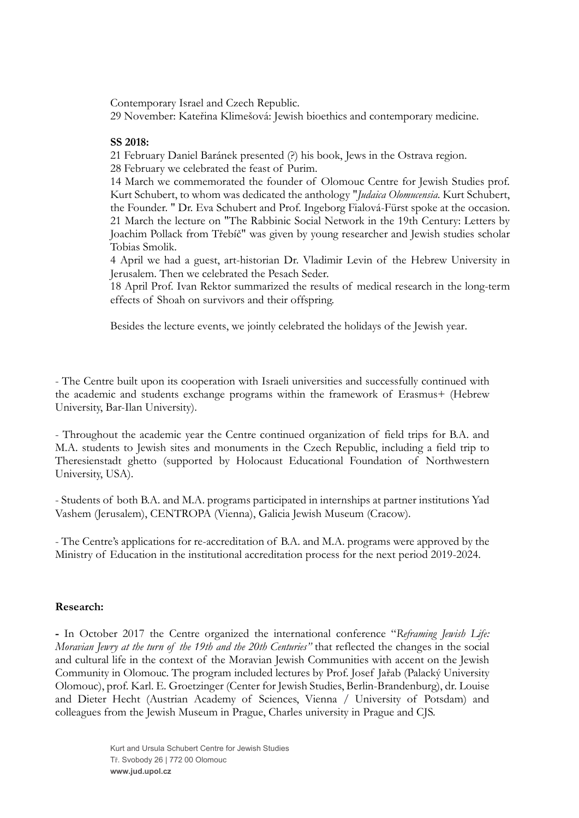Contemporary Israel and Czech Republic.

29 November: Kateřina Klimešová: Jewish bioethics and contemporary medicine.

## SS 2018:

21 February Daniel Baránek presented (?) his book, Jews in the Ostrava region.

28 February we celebrated the feast of Purim.

14 March we commemorated the founder of Olomouc Centre for Jewish Studies prof. Kurt Schubert, to whom was dedicated the anthology "*Judaica Olomucensia*. Kurt Schubert, the Founder. " Dr. Eva Schubert and Prof. Ingeborg Fialová-Fürst spoke at the occasion. 21 March the lecture on "The Rabbinic Social Network in the 19th Century: Letters by Joachim Pollack from Třebíč" was given by young researcher and Jewish studies scholar Tobias Smolik.

4 April we had a guest, art-historian Dr. Vladimir Levin of the Hebrew University in Jerusalem. Then we celebrated the Pesach Seder.

18 April Prof. Ivan Rektor summarized the results of medical research in the long-term effects of Shoah on survivors and their offspring.

Besides the lecture events, we jointly celebrated the holidays of the Jewish year.

- The Centre built upon its cooperation with Israeli universities and successfully continued with the academic and students exchange programs within the framework of Erasmus+ (Hebrew University, Bar-Ilan University).

- Throughout the academic year the Centre continued organization of field trips for B.A. and M.A. students to Jewish sites and monuments in the Czech Republic, including a field trip to Theresienstadt ghetto (supported by Holocaust Educational Foundation of Northwestern University, USA).

- Students of both B.A. and M.A. programs participated in internships at partner institutions Yad Vashem (Jerusalem), CENTROPA (Vienna), Galicia Jewish Museum (Cracow).

- The Centre's applications for re-accreditation of B.A. and M.A. programs were approved by the Ministry of Education in the institutional accreditation process for the next period 2019-2024.

# Research:

- In October 2017 the Centre organized the international conference "*Reframing Jewish Life: Moravian Jewry at the turn of the 19th and the 20th Centuries"* that reflected the changes in the social and cultural life in the context of the Moravian Jewish Communities with accent on the Jewish Community in Olomouc. The program included lectures by Prof. Josef Jařab (Palacký University Olomouc), prof. Karl. E. Groetzinger (Center for Jewish Studies, Berlin-Brandenburg), dr. Louise and Dieter Hecht (Austrian Academy of Sciences, Vienna / University of Potsdam) and colleagues from the Jewish Museum in Prague, Charles university in Prague and CJS.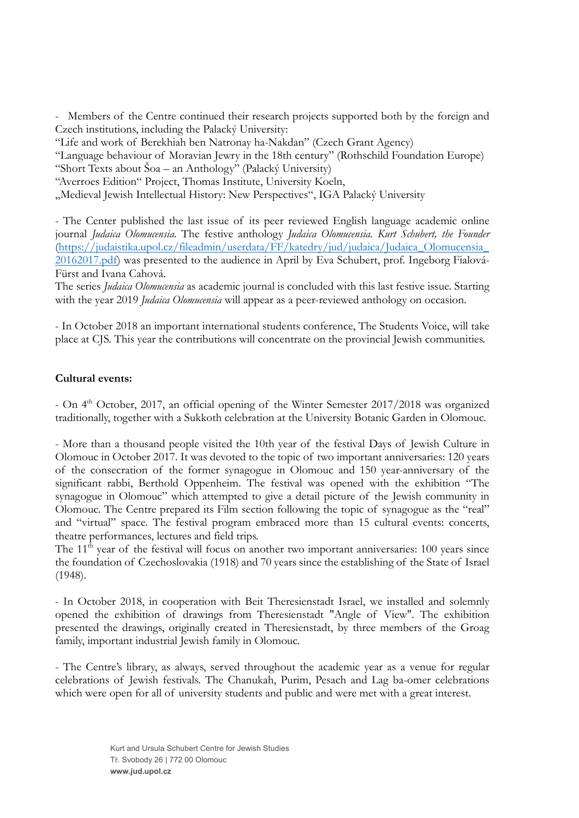- Members of the Centre continued their research projects supported both by the foreign and Czech institutions, including the Palacký University:

"Life and work of Berekhiah ben Natronay ha-Nakdan" (Czech Grant Agency)

"Language behaviour of Moravian Jewry in the 18th century" (Rothschild Foundation Europe) "Short Texts about Šoa – an Anthology" (Palacký University)

"Averroes Edition" Project, Thomas Institute, University Koeln,

"Medieval Jewish Intellectual History: New Perspectives", IGA Palacký University

- The Center published the last issue of its peer reviewed English language academic online journal *Judaica Olomucensia*. The festive anthology *Judaica Olomucensia. Kurt Schubert, the Founder* (https://judaistika.upol.cz/fileadmin/userdata/FF/katedry/jud/judaica/Judaica\_Olomucensia\_ 20162017.pdf) was presented to the audience in April by Eva Schubert, prof. Ingeborg Fialová-Fürst and Ivana Cahová.

The series *Judaica Olomucensia* as academic journal is concluded with this last festive issue. Starting with the year 2019 *Judaica Olomucensia* will appear as a peer-reviewed anthology on occasion.

- In October 2018 an important international students conference, The Students Voice, will take place at CJS. This year the contributions will concentrate on the provincial Jewish communities.

### Cultural events:

- On 4<sup>th</sup> October, 2017, an official opening of the Winter Semester 2017/2018 was organized traditionally, together with a Sukkoth celebration at the University Botanic Garden in Olomouc.

- More than a thousand people visited the 10th year of the festival Days of Jewish Culture in Olomouc in October 2017. It was devoted to the topic of two important anniversaries: 120 years of the consecration of the former synagogue in Olomouc and 150 year-anniversary of the significant rabbi, Berthold Oppenheim. The festival was opened with the exhibition "The synagogue in Olomouc" which attempted to give a detail picture of the Jewish community in Olomouc. The Centre prepared its Film section following the topic of synagogue as the "real" and "virtual" space. The festival program embraced more than 15 cultural events: concerts, theatre performances, lectures and field trips.

The  $11<sup>th</sup>$  year of the festival will focus on another two important anniversaries: 100 years since the foundation of Czechoslovakia (1918) and 70 years since the establishing of the State of Israel (1948).

- In October 2018, in cooperation with Beit Theresienstadt Israel, we installed and solemnly opened the exhibition of drawings from Theresienstadt "Angle of View". The exhibition presented the drawings, originally created in Theresienstadt, by three members of the Groag family, important industrial Jewish family in Olomouc.

- The Centre's library, as always, served throughout the academic year as a venue for regular celebrations of Jewish festivals. The Chanukah, Purim, Pesach and Lag ba-omer celebrations which were open for all of university students and public and were met with a great interest.